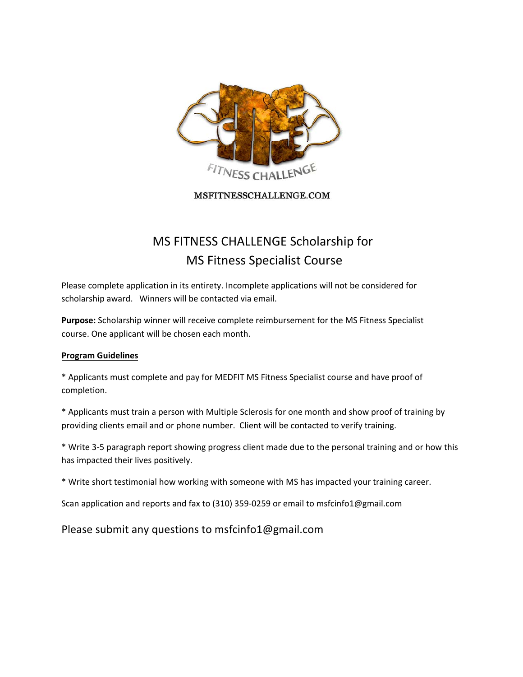

MSFITNESSCHALLENGE.COM

# MS FITNESS CHALLENGE Scholarship for MS Fitness Specialist Course

Please complete application in its entirety. Incomplete applications will not be considered for scholarship award. Winners will be contacted via email.

**Purpose:** Scholarship winner will receive complete reimbursement for the MS Fitness Specialist course. One applicant will be chosen each month.

#### **Program Guidelines**

\* Applicants must complete and pay for MEDFIT MS Fitness Specialist course and have proof of completion.

\* Applicants must train a person with Multiple Sclerosis for one month and show proof of training by providing clients email and or phone number. Client will be contacted to verify training.

\* Write 3‐5 paragraph report showing progress client made due to the personal training and or how this has impacted their lives positively.

\* Write short testimonial how working with someone with MS has impacted your training career.

Scan application and reports and fax to (310) 359‐0259 or email to msfcinfo1@gmail.com

Please submit any questions to msfcinfo1@gmail.com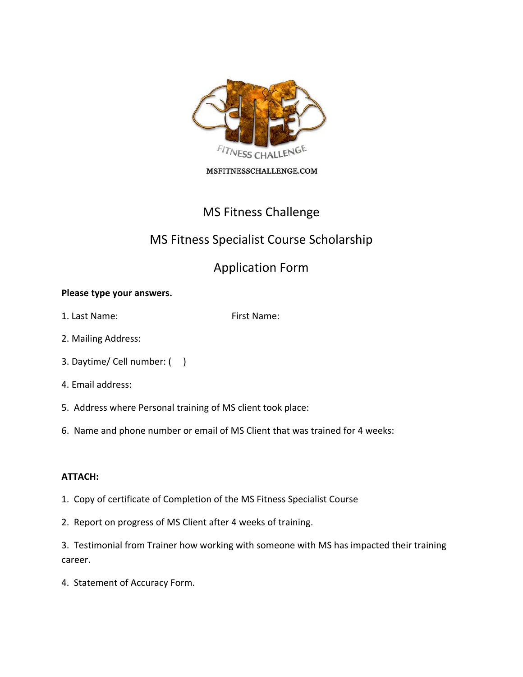

#### MSFITNESSCHALLENGE.COM

## MS Fitness Challenge

### MS Fitness Specialist Course Scholarship

## Application Form

#### **Please type your answers.**

1. Last Name: The Solid School of the School School School School School School School School School School School School School School School School School School School School School School School School School School Sc

- 2. Mailing Address:
- 3. Daytime/ Cell number: ( )
- 4. Email address:
- 5. Address where Personal training of MS client took place:
- 6. Name and phone number or email of MS Client that was trained for 4 weeks:

#### **ATTACH:**

- 1. Copy of certificate of Completion of the MS Fitness Specialist Course
- 2. Report on progress of MS Client after 4 weeks of training.

3. Testimonial from Trainer how working with someone with MS has impacted their training career.

4. Statement of Accuracy Form.